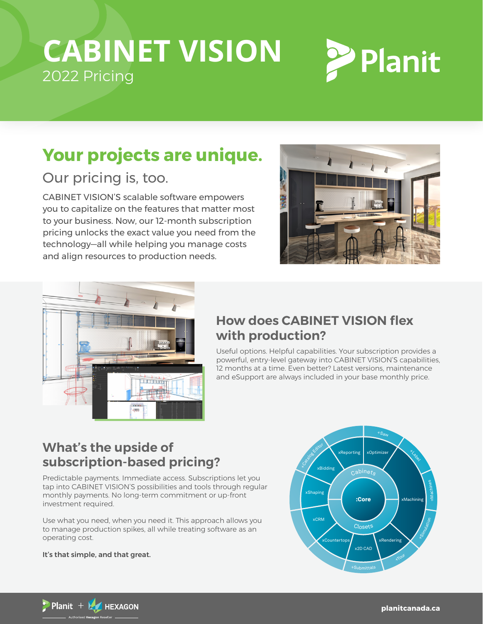# **CABINET VISION** 2022 Pricing



## **Your projects are unique.**

## Our pricing is, too.

CABINET VISION'S scalable software empowers you to capitalize on the features that matter most to your business. Now, our 12-month subscription pricing unlocks the exact value you need from the technology—all while helping you manage costs and align resources to production needs.





## **How does CABINET VISION flex with production?**

Useful options. Helpful capabilities. Your subscription provides a<br>Collection of the building blocks of a substitution of the building of the building of the building of the buil powerful, entry-level gateway into CABINET VISION'S capabilities,<br>--12 months at a time. Even better? Latest versions, maintenance and eSupport are always included in your base monthly price.  $\overline{\phantom{a}}$ component provides layout, cut listing, basic rendering and primary estimating functions.

## **What's the upside of**  subscription-based pricing?

Predictable payments. Immediate access. Subscriptions let you tap into CABINET VISION'S possibilities and tools through regular monthly payments. No long-term commitment or up-front investment required.

Use what you need, when you need it. This approach allows you to manage production spikes, all while treating software as an operating cost.

#### It's that simple, and that great.